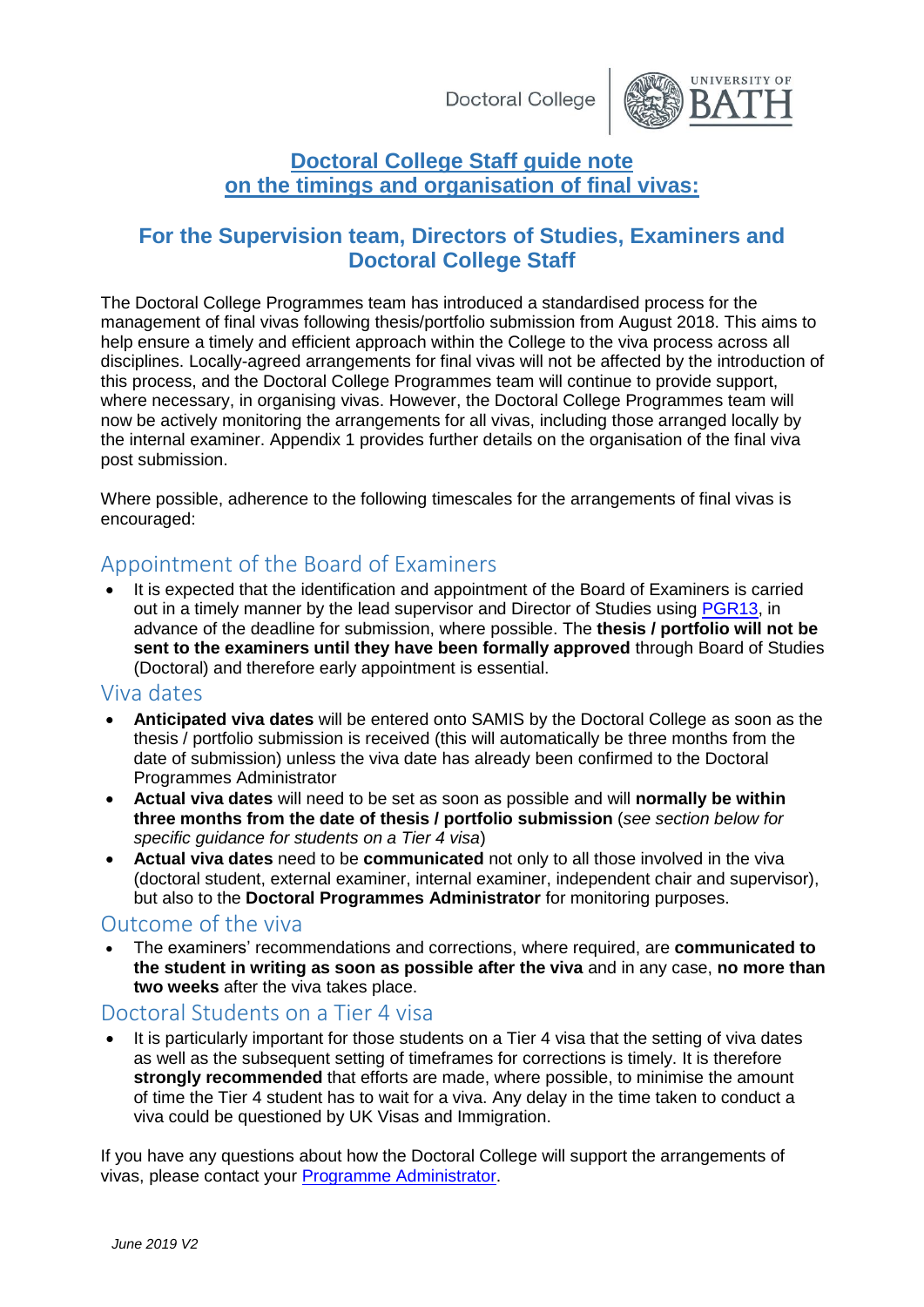Doctoral College



## **Doctoral College Staff guide note on the timings and organisation of final vivas:**

## **For the Supervision team, Directors of Studies, Examiners and Doctoral College Staff**

The Doctoral College Programmes team has introduced a standardised process for the management of final vivas following thesis/portfolio submission from August 2018. This aims to help ensure a timely and efficient approach within the College to the viva process across all disciplines. Locally-agreed arrangements for final vivas will not be affected by the introduction of this process, and the Doctoral College Programmes team will continue to provide support, where necessary, in organising vivas. However, the Doctoral College Programmes team will now be actively monitoring the arrangements for all vivas, including those arranged locally by the internal examiner. Appendix 1 provides further details on the organisation of the final viva post submission.

Where possible, adherence to the following timescales for the arrangements of final vivas is encouraged:

# Appointment of the Board of Examiners

 It is expected that the identification and appointment of the Board of Examiners is carried out in a timely manner by the lead supervisor and Director of Studies using [PGR13,](https://www.bath.ac.uk/publications/appointment-of-examiners-for-doctoral-research-degrees-pgr13/) in advance of the deadline for submission, where possible. The **thesis / portfolio will not be sent to the examiners until they have been formally approved** through Board of Studies (Doctoral) and therefore early appointment is essential.

### Viva dates

- **Anticipated viva dates** will be entered onto SAMIS by the Doctoral College as soon as the thesis / portfolio submission is received (this will automatically be three months from the date of submission) unless the viva date has already been confirmed to the Doctoral Programmes Administrator
- **Actual viva dates** will need to be set as soon as possible and will **normally be within three months from the date of thesis / portfolio submission** (*see section below for specific guidance for students on a Tier 4 visa*)
- **Actual viva dates** need to be **communicated** not only to all those involved in the viva (doctoral student, external examiner, internal examiner, independent chair and supervisor), but also to the **Doctoral Programmes Administrator** for monitoring purposes.

### Outcome of the viva

 The examiners' recommendations and corrections, where required, are **communicated to the student in writing as soon as possible after the viva** and in any case, **no more than two weeks** after the viva takes place.

## Doctoral Students on a Tier 4 visa

 It is particularly important for those students on a Tier 4 visa that the setting of viva dates as well as the subsequent setting of timeframes for corrections is timely. It is therefore **strongly recommended** that efforts are made, where possible, to minimise the amount of time the Tier 4 student has to wait for a viva. Any delay in the time taken to conduct a viva could be questioned by UK Visas and Immigration.

If you have any questions about how the Doctoral College will support the arrangements of vivas, please contact your [Programme Administrator.](https://www.bath.ac.uk/corporate-information/doctoral-college-support-contacts/)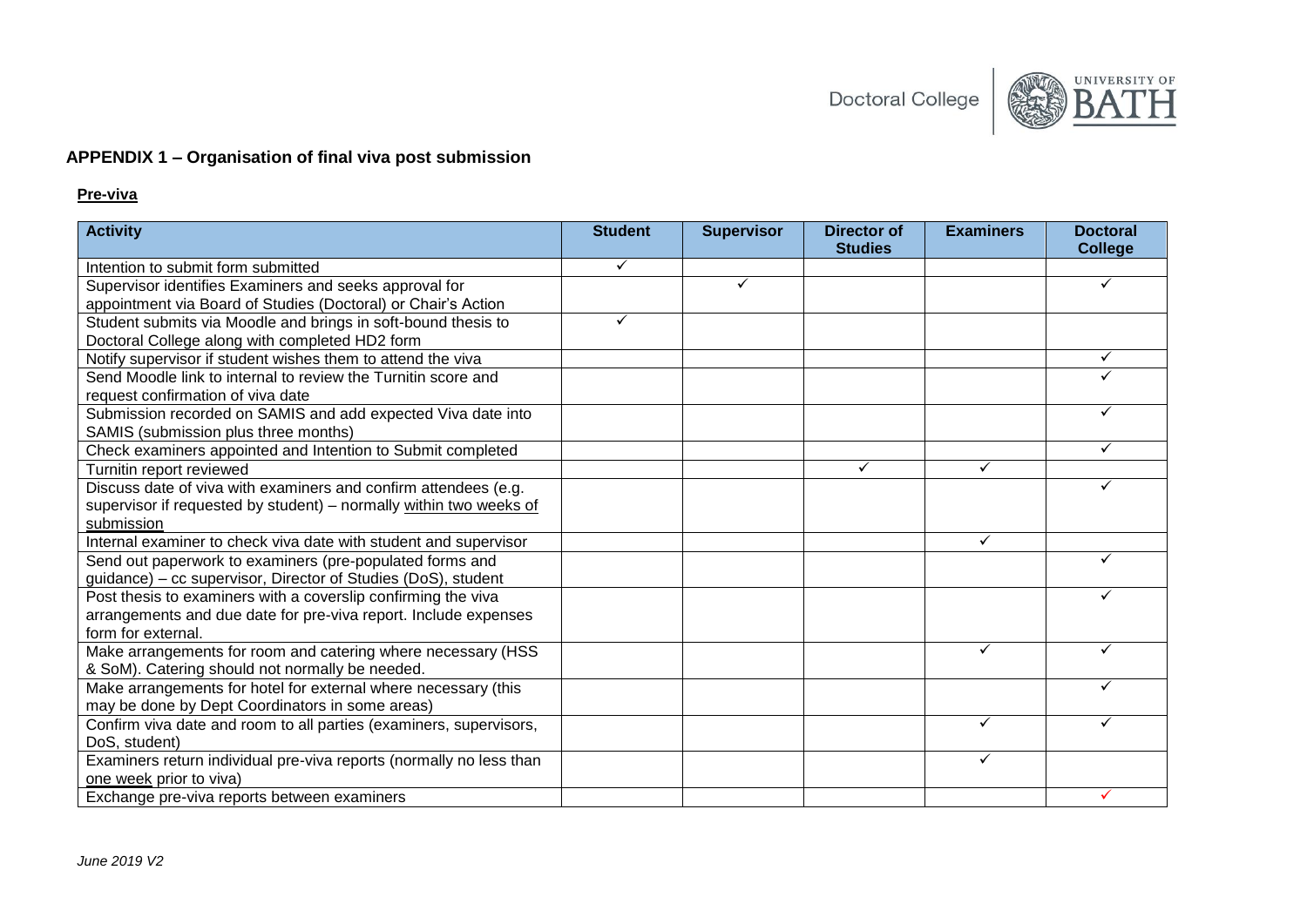

#### **APPENDIX 1 – Organisation of final viva post submission**

#### **Pre-viva**

| <b>Activity</b>                                                                                                         | <b>Student</b> | <b>Supervisor</b> | <b>Director of</b><br><b>Studies</b> | <b>Examiners</b> | <b>Doctoral</b><br><b>College</b> |
|-------------------------------------------------------------------------------------------------------------------------|----------------|-------------------|--------------------------------------|------------------|-----------------------------------|
| Intention to submit form submitted                                                                                      | ✓              |                   |                                      |                  |                                   |
|                                                                                                                         |                | ✓                 |                                      |                  |                                   |
| Supervisor identifies Examiners and seeks approval for<br>appointment via Board of Studies (Doctoral) or Chair's Action |                |                   |                                      |                  |                                   |
|                                                                                                                         | ✓              |                   |                                      |                  |                                   |
| Student submits via Moodle and brings in soft-bound thesis to                                                           |                |                   |                                      |                  |                                   |
| Doctoral College along with completed HD2 form<br>Notify supervisor if student wishes them to attend the viva           |                |                   |                                      |                  | ✓                                 |
| Send Moodle link to internal to review the Turnitin score and                                                           |                |                   |                                      |                  |                                   |
| request confirmation of viva date                                                                                       |                |                   |                                      |                  |                                   |
| Submission recorded on SAMIS and add expected Viva date into                                                            |                |                   |                                      |                  | ✓                                 |
| SAMIS (submission plus three months)                                                                                    |                |                   |                                      |                  |                                   |
| Check examiners appointed and Intention to Submit completed                                                             |                |                   |                                      |                  | ✓                                 |
| Turnitin report reviewed                                                                                                |                |                   | ✓                                    | ✓                |                                   |
| Discuss date of viva with examiners and confirm attendees (e.g.                                                         |                |                   |                                      |                  | ✓                                 |
| supervisor if requested by student) - normally within two weeks of                                                      |                |                   |                                      |                  |                                   |
| submission                                                                                                              |                |                   |                                      |                  |                                   |
| Internal examiner to check viva date with student and supervisor                                                        |                |                   |                                      | ✓                |                                   |
| Send out paperwork to examiners (pre-populated forms and                                                                |                |                   |                                      |                  |                                   |
| guidance) – cc supervisor, Director of Studies (DoS), student                                                           |                |                   |                                      |                  |                                   |
| Post thesis to examiners with a coverslip confirming the viva                                                           |                |                   |                                      |                  |                                   |
| arrangements and due date for pre-viva report. Include expenses                                                         |                |                   |                                      |                  |                                   |
| form for external.                                                                                                      |                |                   |                                      |                  |                                   |
| Make arrangements for room and catering where necessary (HSS                                                            |                |                   |                                      | ✓                | ✓                                 |
| & SoM). Catering should not normally be needed.                                                                         |                |                   |                                      |                  |                                   |
| Make arrangements for hotel for external where necessary (this                                                          |                |                   |                                      |                  |                                   |
| may be done by Dept Coordinators in some areas)                                                                         |                |                   |                                      |                  |                                   |
| Confirm viva date and room to all parties (examiners, supervisors,                                                      |                |                   |                                      | ✓                |                                   |
| DoS, student)                                                                                                           |                |                   |                                      |                  |                                   |
| Examiners return individual pre-viva reports (normally no less than                                                     |                |                   |                                      | ✓                |                                   |
| one week prior to viva)                                                                                                 |                |                   |                                      |                  |                                   |
| Exchange pre-viva reports between examiners                                                                             |                |                   |                                      |                  | ✓                                 |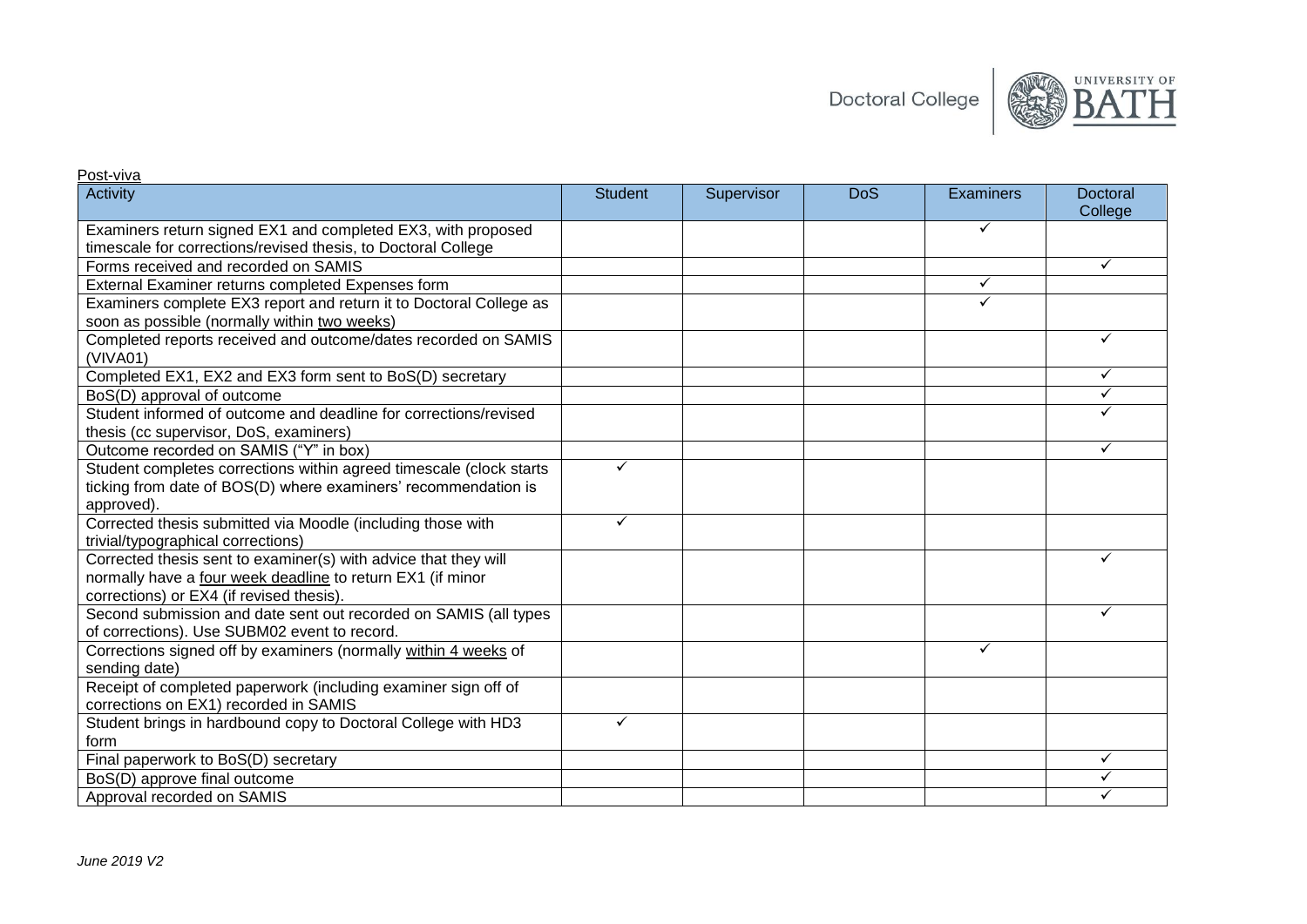**Doctoral College** 



#### Activity Student Supervisor DoS Examiners Doctoral **College** Examiners return signed EX1 and completed EX3, with proposed timescale for corrections/revised thesis, to Doctoral College  $\overline{\checkmark}$ Forms received and recorded on SAMIS  $\checkmark$ External Examiner returns completed Expenses form  $\checkmark$ Examiners complete EX3 report and return it to Doctoral College as soon as possible (normally within two weeks)  $\overline{\checkmark}$ Completed reports received and outcome/dates recorded on SAMIS (VIVA01)  $\checkmark$ Completed EX1, EX2 and EX3 form sent to BoS(D) secretary  $\checkmark$ BoS(D) approval of outcome  $\overline{\checkmark}$ Student informed of outcome and deadline for corrections/revised thesis (cc supervisor, DoS, examiners)  $\overline{\checkmark}$ Outcome recorded on SAMIS ("Y" in box)  $\checkmark$ Student completes corrections within agreed timescale (clock starts ticking from date of BOS(D) where examiners' recommendation is approved).  $\overline{\checkmark}$ Corrected thesis submitted via Moodle (including those with trivial/typographical corrections)  $\checkmark$ Corrected thesis sent to examiner(s) with advice that they will normally have a four week deadline to return EX1 (if minor corrections) or EX4 (if revised thesis).  $\cdot$ Second submission and date sent out recorded on SAMIS (all types of corrections). Use SUBM02 event to record.  $\checkmark$ Corrections signed off by examiners (normally within 4 weeks of sending date)  $\overline{\checkmark}$ Receipt of completed paperwork (including examiner sign off of corrections on EX1) recorded in SAMIS Student brings in hardbound copy to Doctoral College with HD3 form  $\overline{\checkmark}$ Final paperwork to BoS(D) secretary  $\checkmark$ BoS(D) approve final outcome  $\overline{\checkmark}$ Approval recorded on SAMIS  $\overline{\checkmark}$

<u>Post-viva</u>